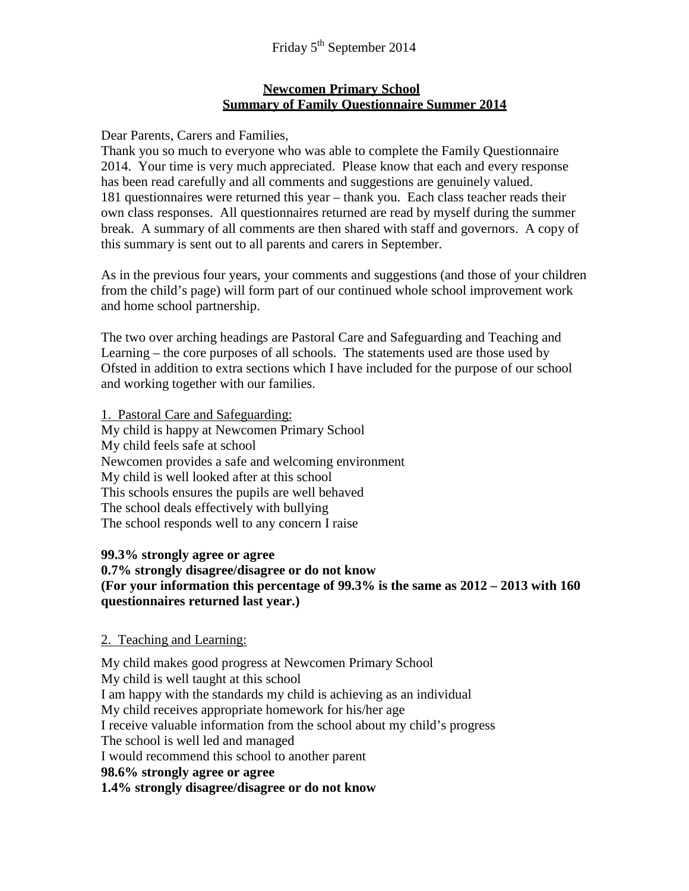#### **Newcomen Primary School Summary of Family Questionnaire Summer 2014**

Dear Parents, Carers and Families,

Thank you so much to everyone who was able to complete the Family Questionnaire 2014. Your time is very much appreciated. Please know that each and every response has been read carefully and all comments and suggestions are genuinely valued. 181 questionnaires were returned this year – thank you. Each class teacher reads their own class responses. All questionnaires returned are read by myself during the summer break. A summary of all comments are then shared with staff and governors. A copy of this summary is sent out to all parents and carers in September.

As in the previous four years, your comments and suggestions (and those of your children from the child's page) will form part of our continued whole school improvement work and home school partnership.

The two over arching headings are Pastoral Care and Safeguarding and Teaching and Learning – the core purposes of all schools. The statements used are those used by Ofsted in addition to extra sections which I have included for the purpose of our school and working together with our families.

1. Pastoral Care and Safeguarding: My child is happy at Newcomen Primary School My child feels safe at school Newcomen provides a safe and welcoming environment My child is well looked after at this school This schools ensures the pupils are well behaved The school deals effectively with bullying The school responds well to any concern I raise

#### **99.3% strongly agree or agree 0.7% strongly disagree/disagree or do not know (For your information this percentage of 99.3% is the same as 2012 – 2013 with 160 questionnaires returned last year.)**

### 2. Teaching and Learning:

My child makes good progress at Newcomen Primary School My child is well taught at this school I am happy with the standards my child is achieving as an individual My child receives appropriate homework for his/her age I receive valuable information from the school about my child's progress The school is well led and managed I would recommend this school to another parent **98.6% strongly agree or agree 1.4% strongly disagree/disagree or do not know**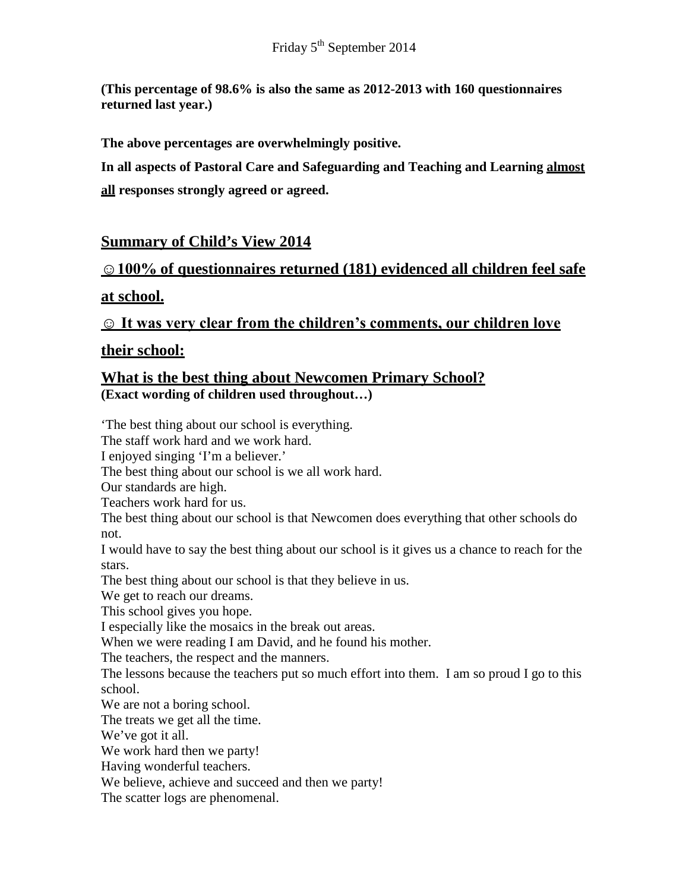**(This percentage of 98.6% is also the same as 2012-2013 with 160 questionnaires returned last year.)**

**The above percentages are overwhelmingly positive.** 

**In all aspects of Pastoral Care and Safeguarding and Teaching and Learning almost all responses strongly agreed or agreed.**

# **Summary of Child's View 2014**

# **☺100% of questionnaires returned (181) evidenced all children feel safe**

### **at school.**

**☺ It was very clear from the children's comments, our children love** 

### **their school:**

### **What is the best thing about Newcomen Primary School? (Exact wording of children used throughout…)**

'The best thing about our school is everything. The staff work hard and we work hard. I enjoyed singing 'I'm a believer.' The best thing about our school is we all work hard. Our standards are high. Teachers work hard for us. The best thing about our school is that Newcomen does everything that other schools do not. I would have to say the best thing about our school is it gives us a chance to reach for the stars. The best thing about our school is that they believe in us. We get to reach our dreams. This school gives you hope. I especially like the mosaics in the break out areas. When we were reading I am David, and he found his mother. The teachers, the respect and the manners. The lessons because the teachers put so much effort into them. I am so proud I go to this school. We are not a boring school. The treats we get all the time. We've got it all. We work hard then we party! Having wonderful teachers. We believe, achieve and succeed and then we party! The scatter logs are phenomenal.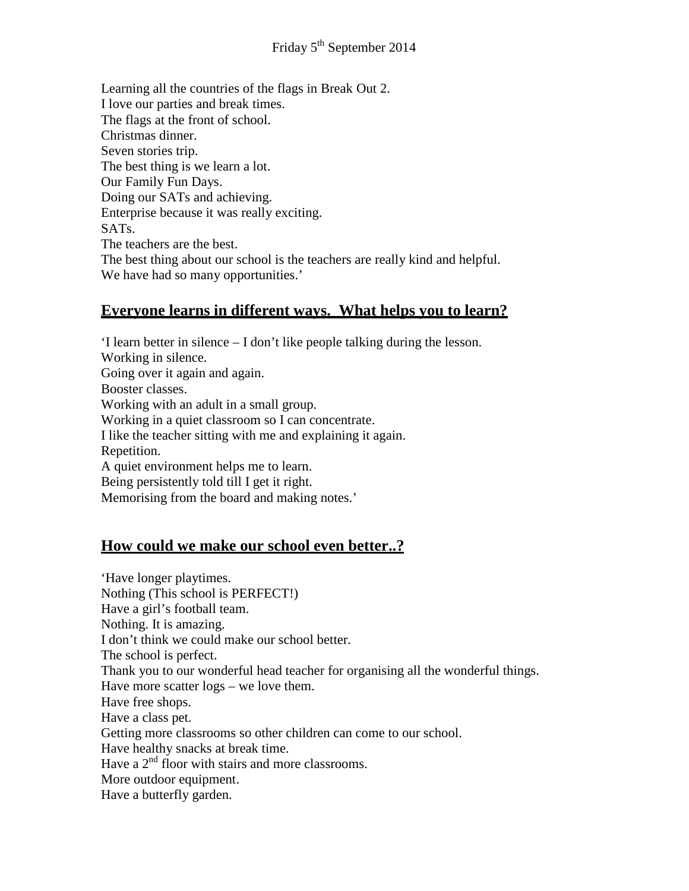Learning all the countries of the flags in Break Out 2. I love our parties and break times. The flags at the front of school. Christmas dinner. Seven stories trip. The best thing is we learn a lot. Our Family Fun Days. Doing our SATs and achieving. Enterprise because it was really exciting. SATs. The teachers are the best. The best thing about our school is the teachers are really kind and helpful. We have had so many opportunities.'

### **Everyone learns in different ways. What helps you to learn?**

'I learn better in silence – I don't like people talking during the lesson. Working in silence. Going over it again and again. Booster classes. Working with an adult in a small group. Working in a quiet classroom so I can concentrate. I like the teacher sitting with me and explaining it again. Repetition. A quiet environment helps me to learn. Being persistently told till I get it right. Memorising from the board and making notes.'

# **How could we make our school even better..?**

'Have longer playtimes. Nothing (This school is PERFECT!) Have a girl's football team. Nothing. It is amazing. I don't think we could make our school better. The school is perfect. Thank you to our wonderful head teacher for organising all the wonderful things. Have more scatter logs – we love them. Have free shops. Have a class pet. Getting more classrooms so other children can come to our school. Have healthy snacks at break time. Have a  $2<sup>nd</sup>$  floor with stairs and more classrooms. More outdoor equipment. Have a butterfly garden.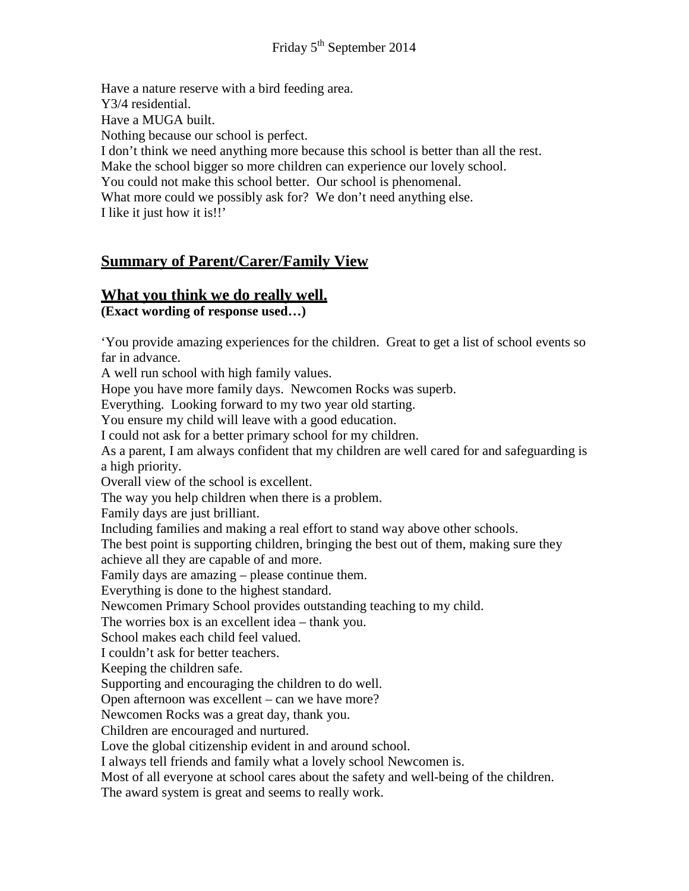Have a nature reserve with a bird feeding area. Y3/4 residential. Have a MUGA built. Nothing because our school is perfect. I don't think we need anything more because this school is better than all the rest. Make the school bigger so more children can experience our lovely school. You could not make this school better. Our school is phenomenal. What more could we possibly ask for? We don't need anything else. I like it just how it is!!'

# **Summary of Parent/Carer/Family View**

### **What you think we do really well.**

**(Exact wording of response used…)**

'You provide amazing experiences for the children. Great to get a list of school events so far in advance.

A well run school with high family values.

Hope you have more family days. Newcomen Rocks was superb.

Everything. Looking forward to my two year old starting.

You ensure my child will leave with a good education.

I could not ask for a better primary school for my children.

As a parent, I am always confident that my children are well cared for and safeguarding is a high priority.

Overall view of the school is excellent.

The way you help children when there is a problem.

Family days are just brilliant.

Including families and making a real effort to stand way above other schools.

The best point is supporting children, bringing the best out of them, making sure they achieve all they are capable of and more.

Family days are amazing – please continue them.

Everything is done to the highest standard.

Newcomen Primary School provides outstanding teaching to my child.

The worries box is an excellent idea – thank you.

School makes each child feel valued.

I couldn't ask for better teachers.

Keeping the children safe.

Supporting and encouraging the children to do well.

Open afternoon was excellent – can we have more?

Newcomen Rocks was a great day, thank you.

Children are encouraged and nurtured.

Love the global citizenship evident in and around school.

I always tell friends and family what a lovely school Newcomen is.

Most of all everyone at school cares about the safety and well-being of the children.

The award system is great and seems to really work.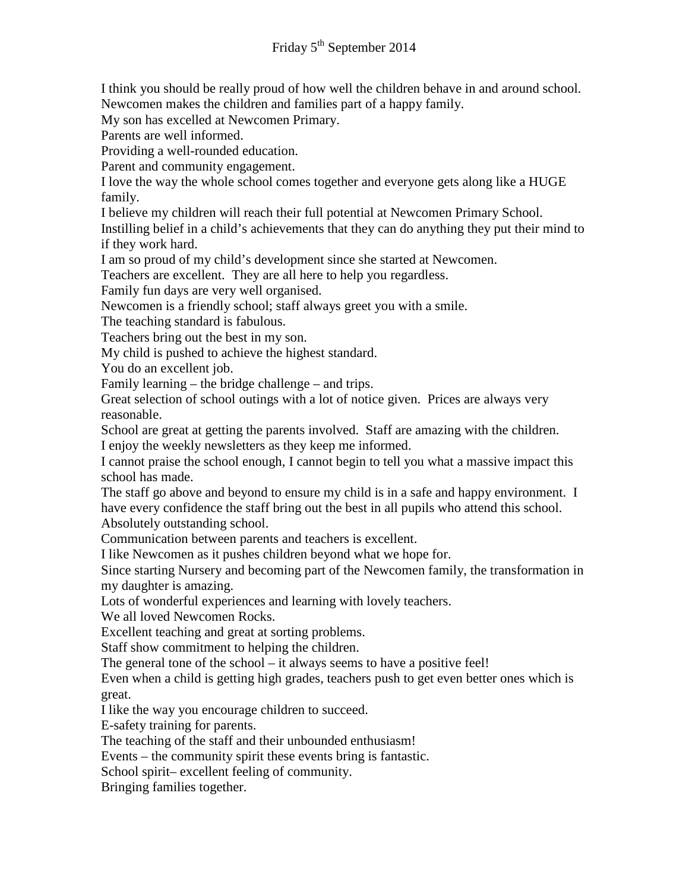I think you should be really proud of how well the children behave in and around school. Newcomen makes the children and families part of a happy family.

My son has excelled at Newcomen Primary.

Parents are well informed.

Providing a well-rounded education.

Parent and community engagement.

I love the way the whole school comes together and everyone gets along like a HUGE family.

I believe my children will reach their full potential at Newcomen Primary School.

Instilling belief in a child's achievements that they can do anything they put their mind to if they work hard.

I am so proud of my child's development since she started at Newcomen.

Teachers are excellent. They are all here to help you regardless.

Family fun days are very well organised.

Newcomen is a friendly school; staff always greet you with a smile.

The teaching standard is fabulous.

Teachers bring out the best in my son.

My child is pushed to achieve the highest standard.

You do an excellent job.

Family learning – the bridge challenge – and trips.

Great selection of school outings with a lot of notice given. Prices are always very reasonable.

School are great at getting the parents involved. Staff are amazing with the children. I enjoy the weekly newsletters as they keep me informed.

I cannot praise the school enough, I cannot begin to tell you what a massive impact this school has made.

The staff go above and beyond to ensure my child is in a safe and happy environment. I have every confidence the staff bring out the best in all pupils who attend this school. Absolutely outstanding school.

Communication between parents and teachers is excellent.

I like Newcomen as it pushes children beyond what we hope for.

Since starting Nursery and becoming part of the Newcomen family, the transformation in my daughter is amazing.

Lots of wonderful experiences and learning with lovely teachers.

We all loved Newcomen Rocks.

Excellent teaching and great at sorting problems.

Staff show commitment to helping the children.

The general tone of the school – it always seems to have a positive feel!

Even when a child is getting high grades, teachers push to get even better ones which is great.

I like the way you encourage children to succeed.

E-safety training for parents.

The teaching of the staff and their unbounded enthusiasm!

Events – the community spirit these events bring is fantastic.

School spirit– excellent feeling of community.

Bringing families together.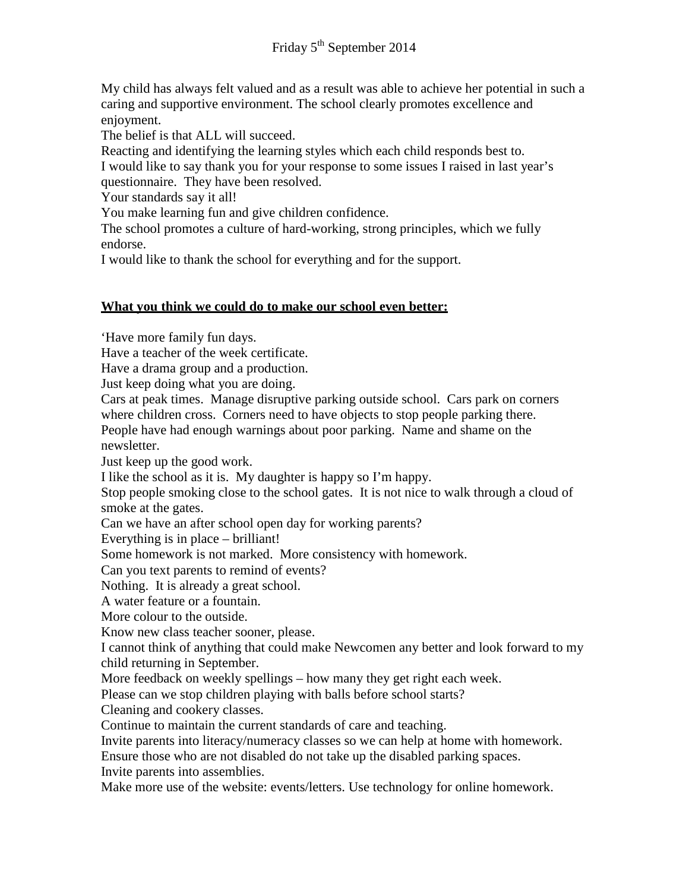My child has always felt valued and as a result was able to achieve her potential in such a caring and supportive environment. The school clearly promotes excellence and enjoyment.

The belief is that ALL will succeed.

Reacting and identifying the learning styles which each child responds best to. I would like to say thank you for your response to some issues I raised in last year's questionnaire. They have been resolved.

Your standards say it all!

You make learning fun and give children confidence.

The school promotes a culture of hard-working, strong principles, which we fully endorse.

I would like to thank the school for everything and for the support.

#### **What you think we could do to make our school even better:**

'Have more family fun days.

Have a teacher of the week certificate.

Have a drama group and a production.

Just keep doing what you are doing.

Cars at peak times. Manage disruptive parking outside school. Cars park on corners where children cross. Corners need to have objects to stop people parking there. People have had enough warnings about poor parking. Name and shame on the

newsletter.

Just keep up the good work.

I like the school as it is. My daughter is happy so I'm happy.

Stop people smoking close to the school gates. It is not nice to walk through a cloud of smoke at the gates.

Can we have an after school open day for working parents?

Everything is in place – brilliant!

Some homework is not marked. More consistency with homework.

Can you text parents to remind of events?

Nothing. It is already a great school.

A water feature or a fountain.

More colour to the outside.

Know new class teacher sooner, please.

I cannot think of anything that could make Newcomen any better and look forward to my child returning in September.

More feedback on weekly spellings – how many they get right each week.

Please can we stop children playing with balls before school starts?

Cleaning and cookery classes.

Continue to maintain the current standards of care and teaching.

Invite parents into literacy/numeracy classes so we can help at home with homework.

Ensure those who are not disabled do not take up the disabled parking spaces.

Invite parents into assemblies. Make more use of the website: events/letters. Use technology for online homework.